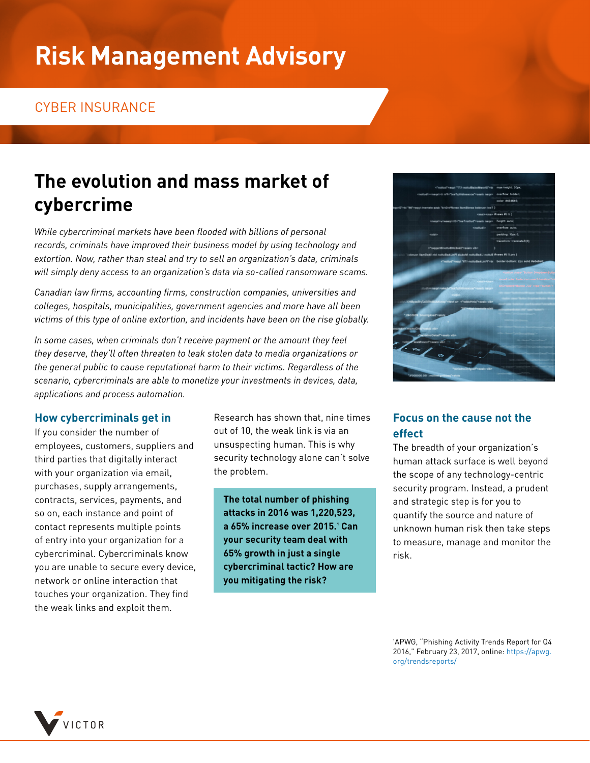# **Risk Management Advisory**

### CYBER INSURANCE

# **The evolution and mass market of cybercrime**

*While cybercriminal markets have been flooded with billions of personal records, criminals have improved their business model by using technology and extortion. Now, rather than steal and try to sell an organization's data, criminals will simply deny access to an organization's data via so-called ransomware scams.*

*Canadian law firms, accounting firms, construction companies, universities and colleges, hospitals, municipalities, government agencies and more have all been victims of this type of online extortion, and incidents have been on the rise globally.*

*In some cases, when criminals don't receive payment or the amount they feel they deserve, they'll often threaten to leak stolen data to media organizations or the general public to cause reputational harm to their victims. Regardless of the scenario, cybercriminals are able to monetize your investments in devices, data, applications and process automation.*

#### **How cybercriminals get in**

If you consider the number of employees, customers, suppliers and third parties that digitally interact with your organization via email, purchases, supply arrangements, contracts, services, payments, and so on, each instance and point of contact represents multiple points of entry into your organization for a cybercriminal. Cybercriminals know you are unable to secure every device, network or online interaction that touches your organization. They find the weak links and exploit them.

Research has shown that, nine times out of 10, the weak link is via an unsuspecting human. This is why security technology alone can't solve the problem.

**The total number of phishing attacks in 2016 was 1,220,523, a 65% increase over 2015.1 Can your security team deal with 65% growth in just a single cybercriminal tactic? How are you mitigating the risk?** 



#### **Focus on the cause not the effect**

The breadth of your organization's human attack surface is well beyond the scope of any technology-centric security program. Instead, a prudent and strategic step is for you to quantify the source and nature of unknown human risk then take steps to measure, manage and monitor the risk.

1APWG, "Phishing Activity Trends Report for Q4 2016," February 23, 2017, online: [https://apwg.](https://apwg.org/trendsreports/) [org/trendsreports/](https://apwg.org/trendsreports/)